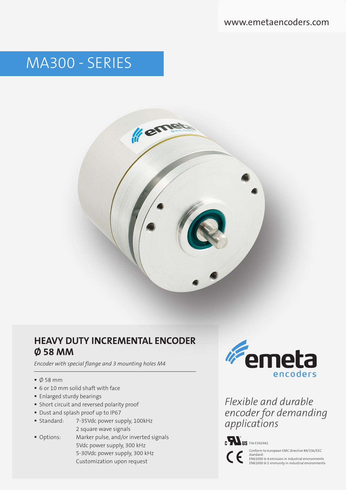# MA300 - SERIES



### **HEAVY DUTY INCREMENTAL ENCODER Ø 58 MM**

*Encoder with special flange and 3 mounting holes M4* 

- $\bullet$  Ø 58 mm
- 6 or 10 mm solid shaft with face
- **Enlarged sturdy bearings**
- Short circuit and reversed polarity proof
- Dust and splash proof up to IP67
- Standard: 7-35Vdc power supply, 100kHz 2 square wave signals
- Options: Marker pulse, and/or inverted signals 5Vdc power supply, 300 kHz 5-30Vdc power supply, 300 kHz

Customization upon request

Femeta encoders

*Flexible and durable encoder for demanding applications*



Conform to european EMC directive 89/336/EEC

standard: EN61000-6-4 emission in industrial environments EN61000-6-2 immunity in industrial environments